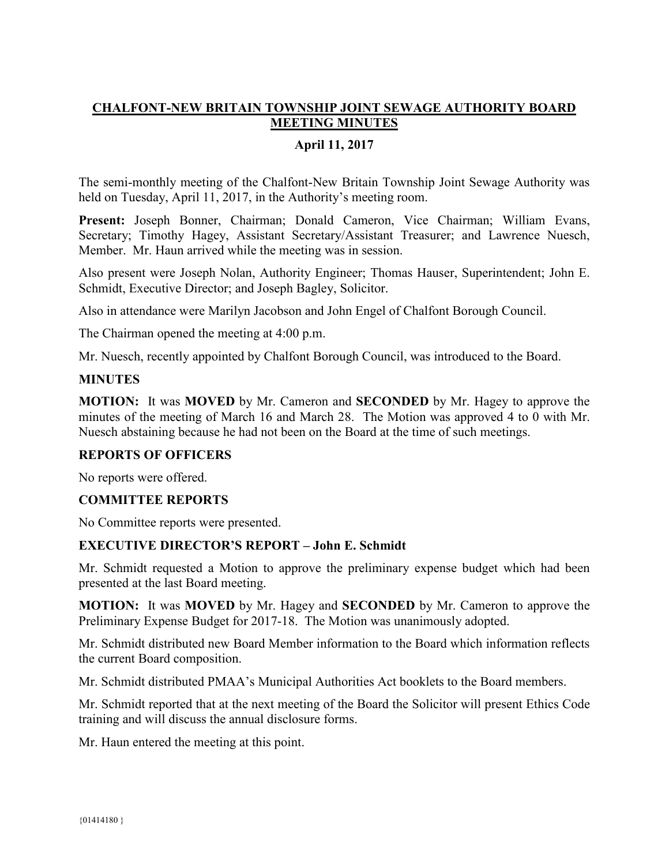# **CHALFONT-NEW BRITAIN TOWNSHIP JOINT SEWAGE AUTHORITY BOARD MEETING MINUTES**

### **April 11, 2017**

The semi-monthly meeting of the Chalfont-New Britain Township Joint Sewage Authority was held on Tuesday, April 11, 2017, in the Authority's meeting room.

**Present:** Joseph Bonner, Chairman; Donald Cameron, Vice Chairman; William Evans, Secretary; Timothy Hagey, Assistant Secretary/Assistant Treasurer; and Lawrence Nuesch, Member. Mr. Haun arrived while the meeting was in session.

Also present were Joseph Nolan, Authority Engineer; Thomas Hauser, Superintendent; John E. Schmidt, Executive Director; and Joseph Bagley, Solicitor.

Also in attendance were Marilyn Jacobson and John Engel of Chalfont Borough Council.

The Chairman opened the meeting at 4:00 p.m.

Mr. Nuesch, recently appointed by Chalfont Borough Council, was introduced to the Board.

### **MINUTES**

**MOTION:** It was **MOVED** by Mr. Cameron and **SECONDED** by Mr. Hagey to approve the minutes of the meeting of March 16 and March 28. The Motion was approved 4 to 0 with Mr. Nuesch abstaining because he had not been on the Board at the time of such meetings.

#### **REPORTS OF OFFICERS**

No reports were offered.

#### **COMMITTEE REPORTS**

No Committee reports were presented.

#### **EXECUTIVE DIRECTOR'S REPORT – John E. Schmidt**

Mr. Schmidt requested a Motion to approve the preliminary expense budget which had been presented at the last Board meeting.

**MOTION:** It was **MOVED** by Mr. Hagey and **SECONDED** by Mr. Cameron to approve the Preliminary Expense Budget for 2017-18. The Motion was unanimously adopted.

Mr. Schmidt distributed new Board Member information to the Board which information reflects the current Board composition.

Mr. Schmidt distributed PMAA's Municipal Authorities Act booklets to the Board members.

Mr. Schmidt reported that at the next meeting of the Board the Solicitor will present Ethics Code training and will discuss the annual disclosure forms.

Mr. Haun entered the meeting at this point.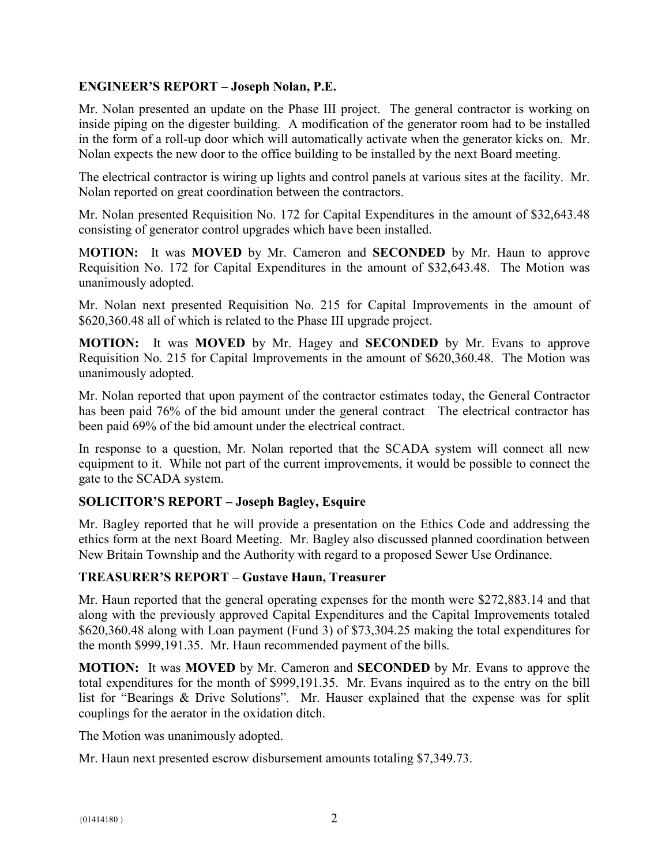## **ENGINEER'S REPORT – Joseph Nolan, P.E.**

Mr. Nolan presented an update on the Phase III project. The general contractor is working on inside piping on the digester building. A modification of the generator room had to be installed in the form of a roll-up door which will automatically activate when the generator kicks on. Mr. Nolan expects the new door to the office building to be installed by the next Board meeting.

The electrical contractor is wiring up lights and control panels at various sites at the facility. Mr. Nolan reported on great coordination between the contractors.

Mr. Nolan presented Requisition No. 172 for Capital Expenditures in the amount of \$32,643.48 consisting of generator control upgrades which have been installed.

M**OTION:** It was **MOVED** by Mr. Cameron and **SECONDED** by Mr. Haun to approve Requisition No. 172 for Capital Expenditures in the amount of \$32,643.48. The Motion was unanimously adopted.

Mr. Nolan next presented Requisition No. 215 for Capital Improvements in the amount of \$620,360.48 all of which is related to the Phase III upgrade project.

**MOTION:** It was **MOVED** by Mr. Hagey and **SECONDED** by Mr. Evans to approve Requisition No. 215 for Capital Improvements in the amount of \$620,360.48. The Motion was unanimously adopted.

Mr. Nolan reported that upon payment of the contractor estimates today, the General Contractor has been paid 76% of the bid amount under the general contract. The electrical contractor has been paid 69% of the bid amount under the electrical contract.

In response to a question, Mr. Nolan reported that the SCADA system will connect all new equipment to it. While not part of the current improvements, it would be possible to connect the gate to the SCADA system.

# **SOLICITOR'S REPORT – Joseph Bagley, Esquire**

Mr. Bagley reported that he will provide a presentation on the Ethics Code and addressing the ethics form at the next Board Meeting. Mr. Bagley also discussed planned coordination between New Britain Township and the Authority with regard to a proposed Sewer Use Ordinance.

#### **TREASURER'S REPORT – Gustave Haun, Treasurer**

Mr. Haun reported that the general operating expenses for the month were \$272,883.14 and that along with the previously approved Capital Expenditures and the Capital Improvements totaled \$620,360.48 along with Loan payment (Fund 3) of \$73,304.25 making the total expenditures for the month \$999,191.35. Mr. Haun recommended payment of the bills.

**MOTION:** It was **MOVED** by Mr. Cameron and **SECONDED** by Mr. Evans to approve the total expenditures for the month of \$999,191.35. Mr. Evans inquired as to the entry on the bill list for "Bearings & Drive Solutions". Mr. Hauser explained that the expense was for split couplings for the aerator in the oxidation ditch.

The Motion was unanimously adopted.

Mr. Haun next presented escrow disbursement amounts totaling \$7,349.73.